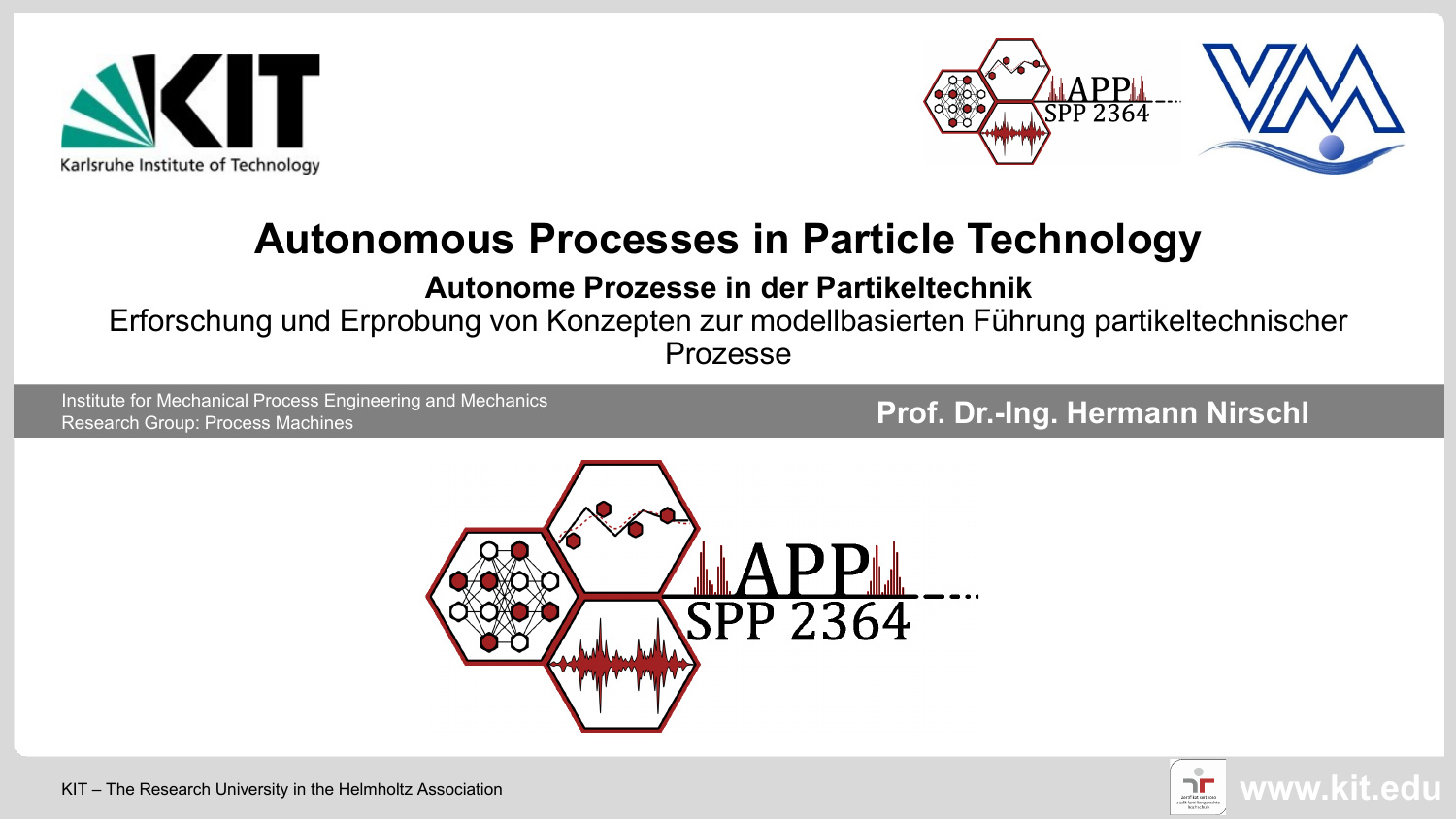



### **Autonomous Processes in Particle Technology**

#### **Autonome Prozesse in der Partikeltechnik**

#### Erforschung und Erprobung von Konzepten zur modellbasierten Führung partikeltechnischer Prozesse

Institute for Mechanical Process Engineering and Mechanics Research Group: Process Machines

#### **Prof. Dr.-Ing. Hermann Nirschl**



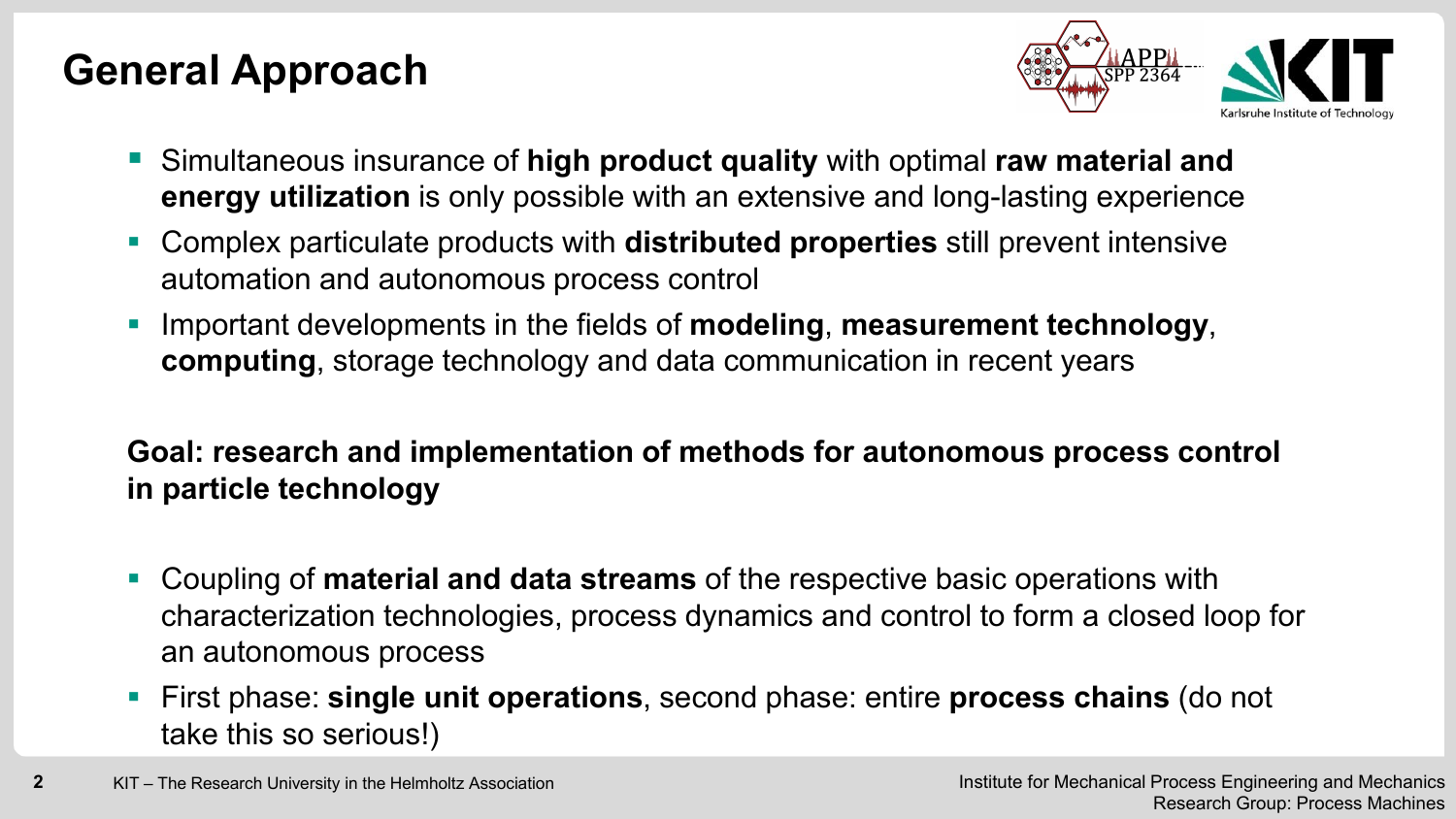

- Simultaneous insurance of **high product quality** with optimal **raw material and energy utilization** is only possible with an extensive and long-lasting experience
- Complex particulate products with **distributed properties** still prevent intensive automation and autonomous process control
- Important developments in the fields of **modeling**, **measurement technology**, **computing**, storage technology and data communication in recent years

#### **Goal: research and implementation of methods for autonomous process control in particle technology**

- Coupling of **material and data streams** of the respective basic operations with characterization technologies, process dynamics and control to form a closed loop for an autonomous process
- First phase: **single unit operations**, second phase: entire **process chains** (do not take this so serious!)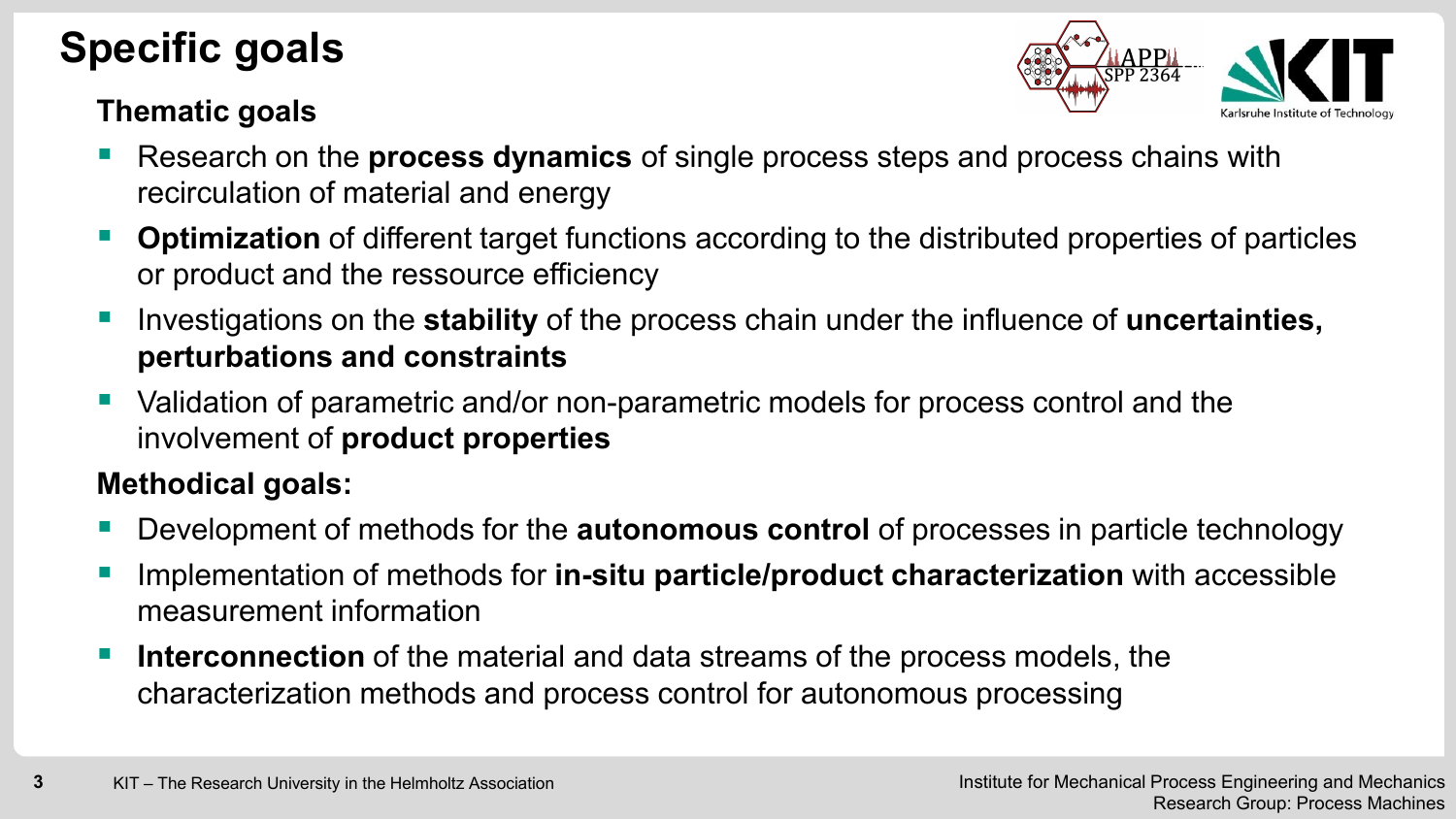# **Specific goals**

### **Thematic goals**



- Research on the **process dynamics** of single process steps and process chains with recirculation of material and energy
- **Optimization** of different target functions according to the distributed properties of particles or product and the ressource efficiency
- Investigations on the **stability** of the process chain under the influence of **uncertainties, perturbations and constraints**
- Validation of parametric and/or non-parametric models for process control and the involvement of **product properties**

#### **Methodical goals:**

- Development of methods for the **autonomous control** of processes in particle technology
- Implementation of methods for **in-situ particle/product characterization** with accessible measurement information
- **Interconnection** of the material and data streams of the process models, the characterization methods and process control for autonomous processing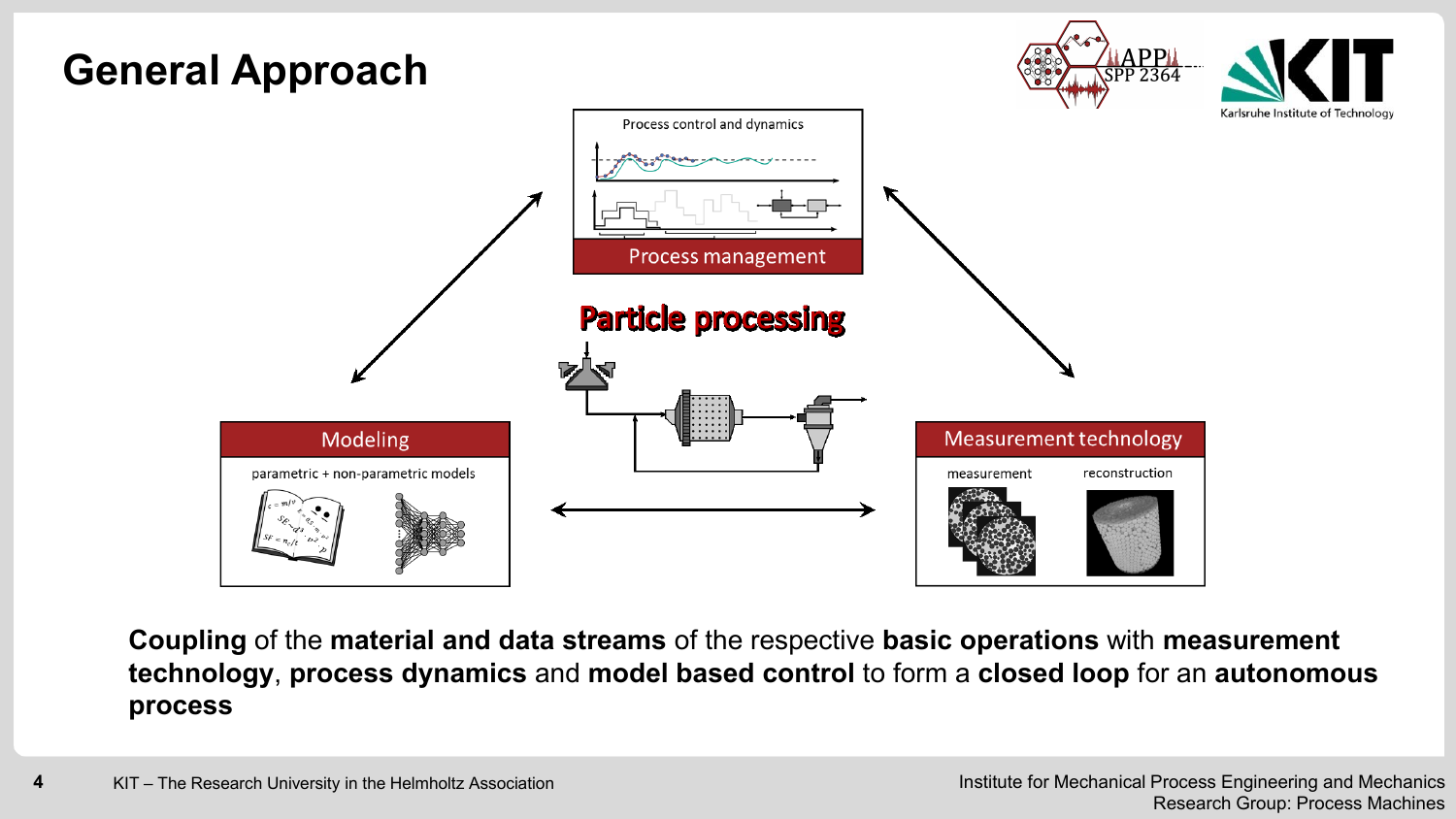



**Coupling** of the **material and data streams** of the respective **basic operations** with **measurement technology**, **process dynamics** and **model based control** to form a **closed loop** for an **autonomous process**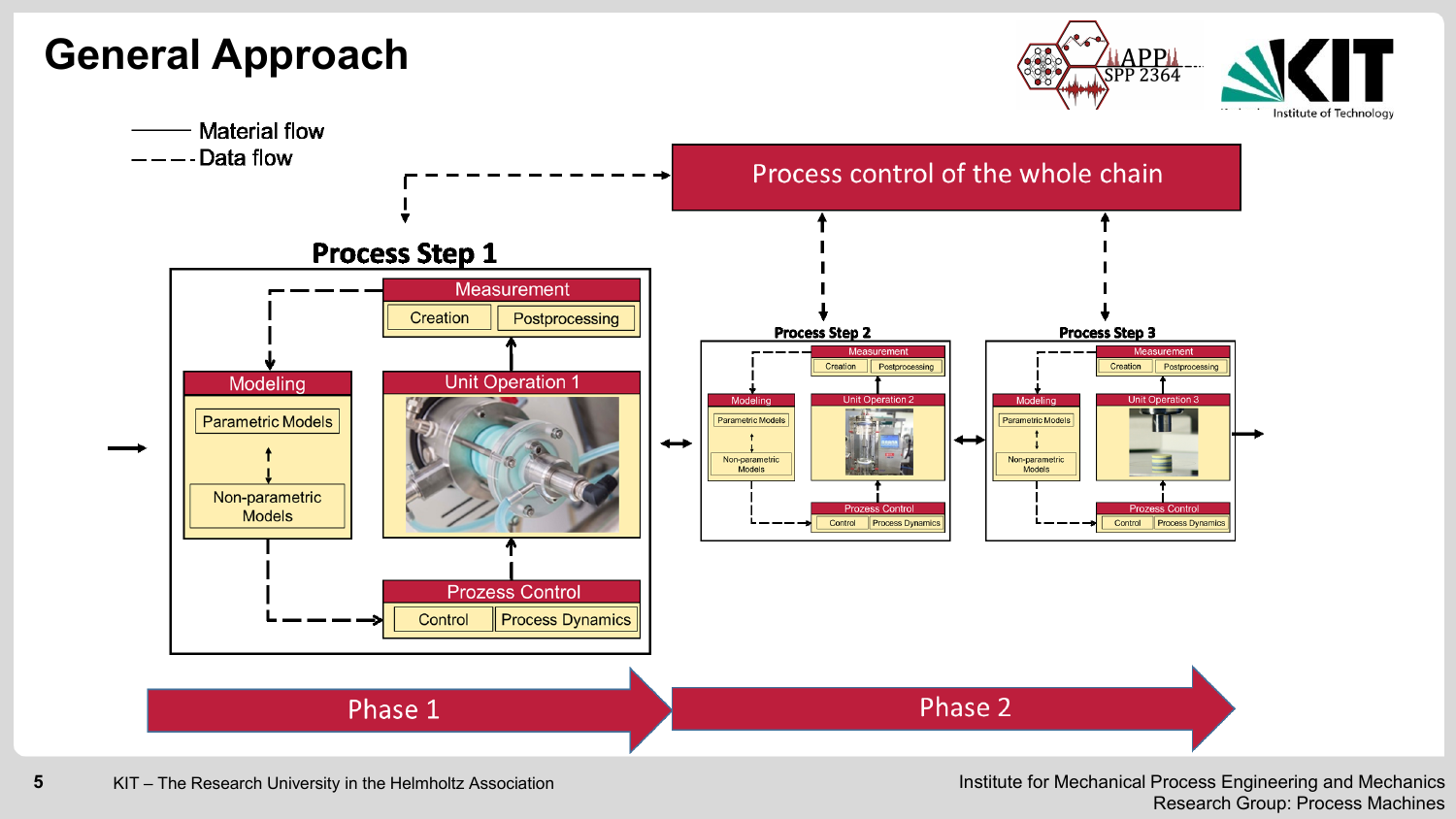



Institute for Mechanical Process Engineering and Mechanics Research Group: Process Machines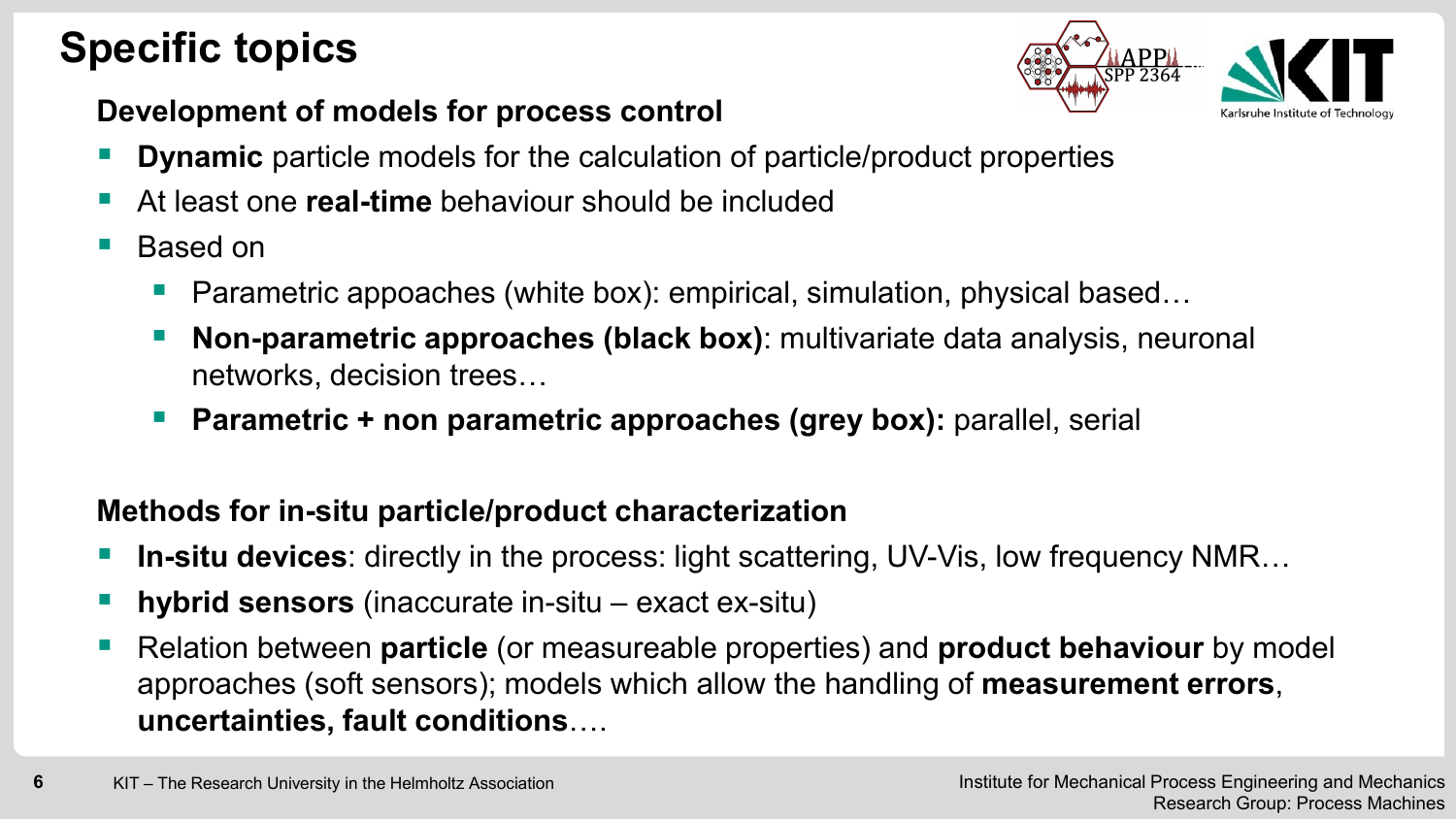# **Specific topics**



#### **Development of models for process control**

- **Dynamic** particle models for the calculation of particle/product properties
- At least one **real-time** behaviour should be included
- **Based on** 
	- Parametric appoaches (white box): empirical, simulation, physical based...
	- **Non-parametric approaches (black box)**: multivariate data analysis, neuronal networks, decision trees…
	- **Parametric + non parametric approaches (grey box):** parallel, serial

#### **Methods for in-situ particle/product characterization**

- In-situ devices: directly in the process: light scattering, UV-Vis, low frequency NMR...
- **hybrid sensors** (inaccurate in-situ exact ex-situ)
- Relation between **particle** (or measureable properties) and **product behaviour** by model approaches (soft sensors); models which allow the handling of **measurement errors**, **uncertainties, fault conditions**….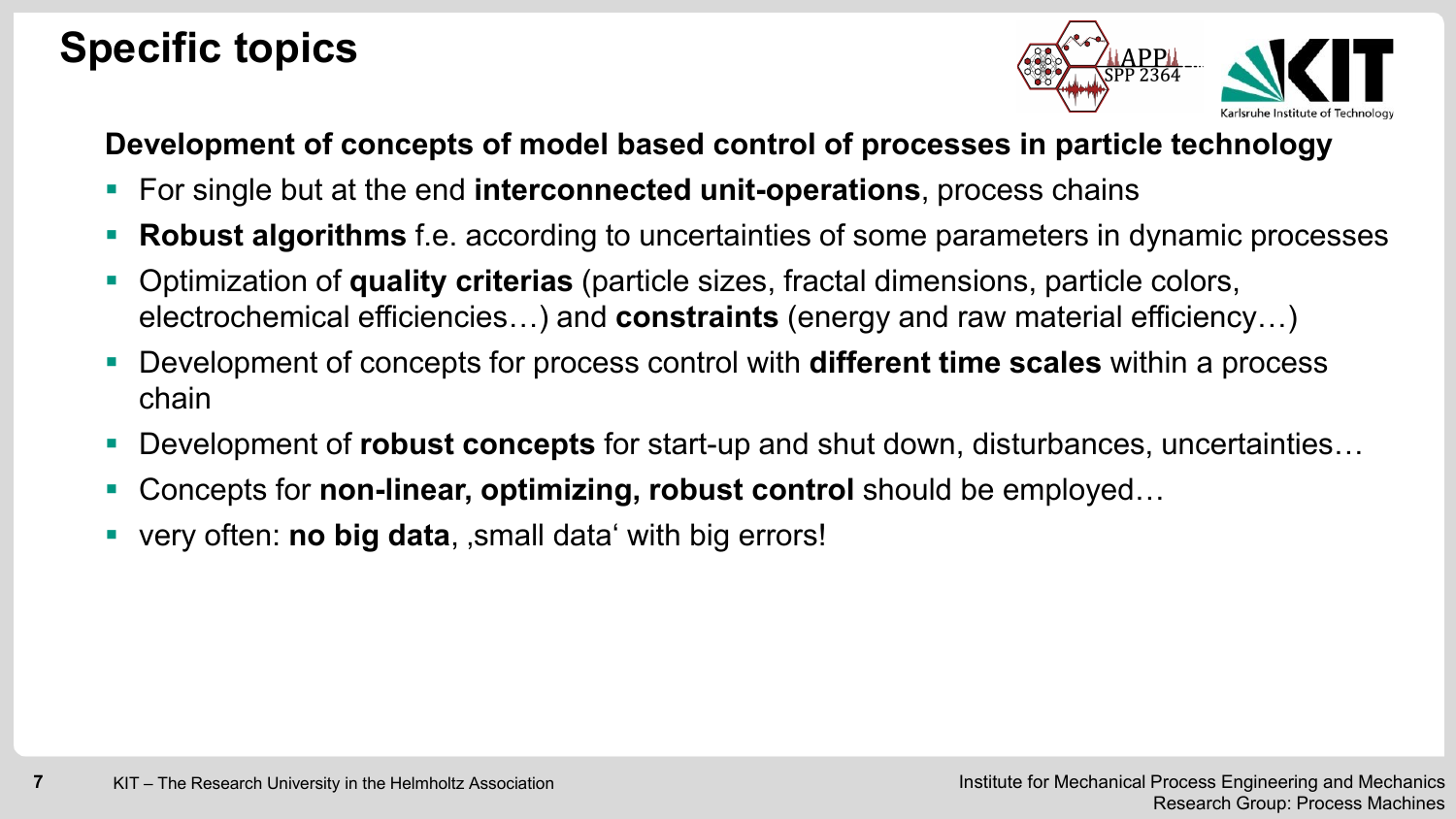### **Specific topics**



**Development of concepts of model based control of processes in particle technology**

- For single but at the end **interconnected unit-operations**, process chains
- **Robust algorithms** f.e. according to uncertainties of some parameters in dynamic processes
- Optimization of **quality criterias** (particle sizes, fractal dimensions, particle colors, electrochemical efficiencies…) and **constraints** (energy and raw material efficiency…)
- Development of concepts for process control with **different time scales** within a process chain
- Development of **robust concepts** for start-up and shut down, disturbances, uncertainties...
- Concepts for **non-linear, optimizing, robust control** should be employed...
- very often: **no big data**, , small data' with big errors!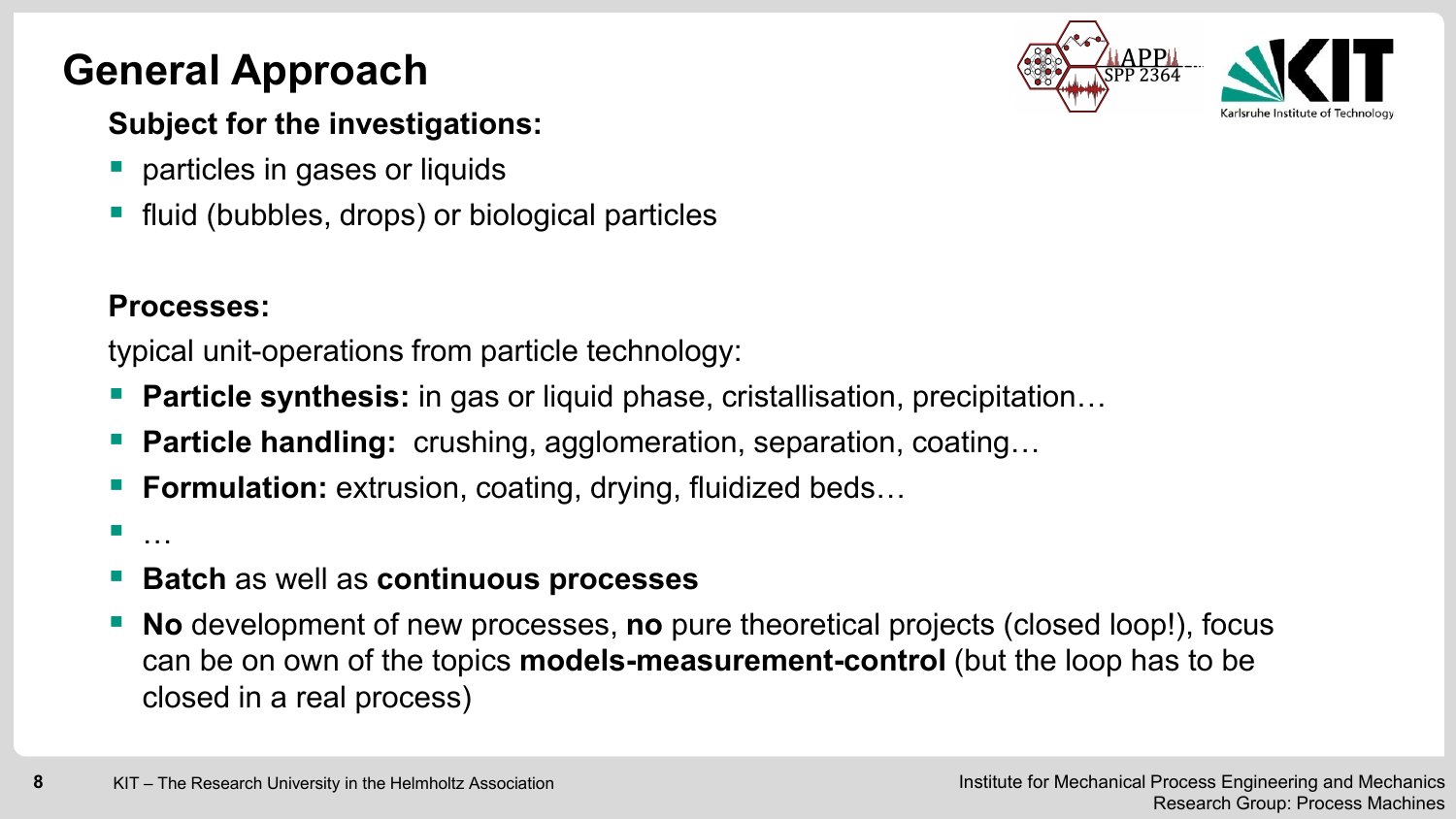### **Subject for the investigations:**

- particles in gases or liquids
- fluid (bubbles, drops) or biological particles

#### **Processes:**

▪ …

typical unit-operations from particle technology:

- **Particle synthesis:** in gas or liquid phase, cristallisation, precipitation...
- Particle handling: crushing, agglomeration, separation, coating...
- **Formulation:** extrusion, coating, drying, fluidized beds...

#### ▪ **Batch** as well as **continuous processes**

**No** development of new processes, **no** pure theoretical projects (closed loop!), focus can be on own of the topics **models-measurement-control** (but the loop has to be closed in a real process)

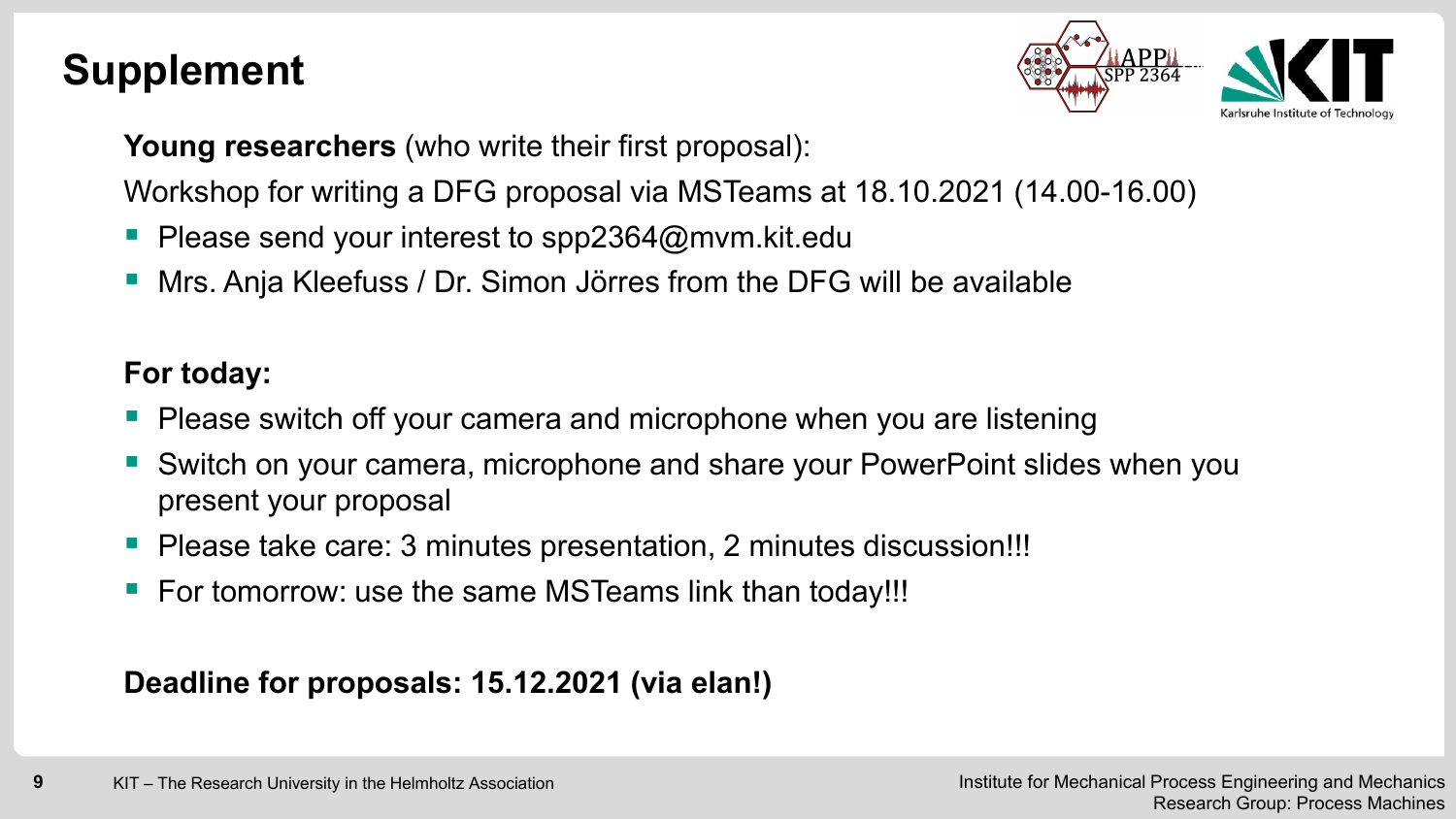### **Supplement**



**Young researchers** (who write their first proposal):

Workshop for writing a DFG proposal via MSTeams at 18.10.2021 (14.00-16.00)

- **Please send your interest to spp2364@mvm.kit.edu**
- Mrs. Anja Kleefuss / Dr. Simon Jörres from the DFG will be available

#### **For today:**

- Please switch off your camera and microphone when you are listening
- Switch on your camera, microphone and share your PowerPoint slides when you present your proposal
- Please take care: 3 minutes presentation, 2 minutes discussion!!!
- For tomorrow: use the same MSTeams link than today!!!

#### **Deadline for proposals: 15.12.2021 (via elan!)**